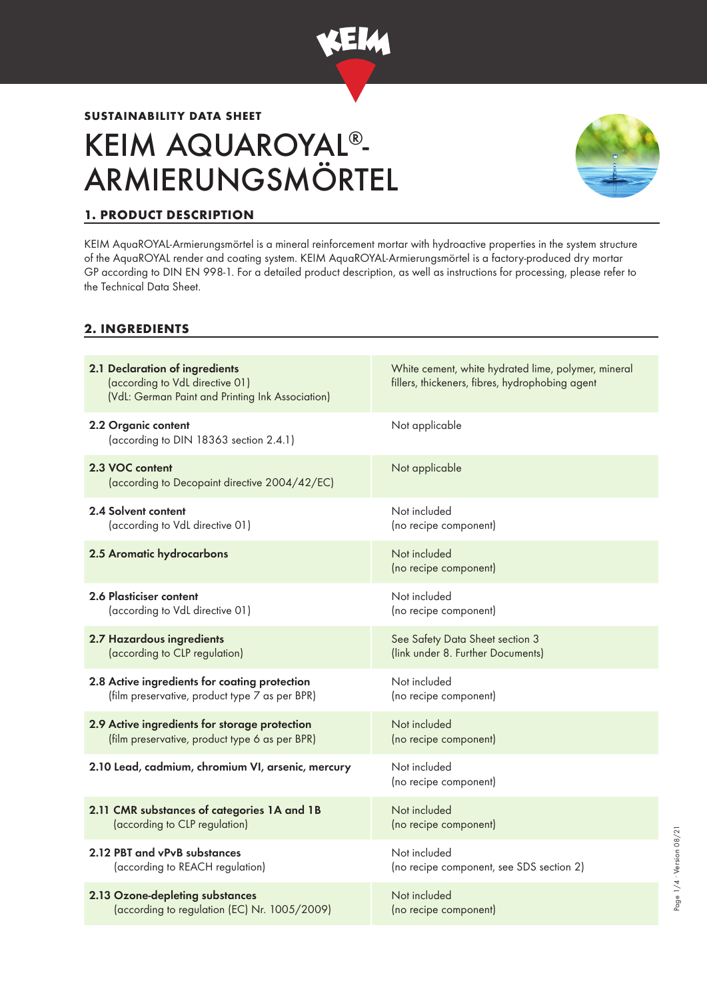

# **SUSTAINABILITY DATA SHEET** KEIM AQUAROYAL®- ARMIERUNGSMÖRTEL



Page 1/4 ∙ Version 08/21

Page 1/4 · Version 08/21

# **1. PRODUCT DESCRIPTION**

KEIM AquaROYAL-Armierungsmörtel is a mineral reinforcement mortar with hydroactive properties in the system structure of the AquaROYAL render and coating system. KEIM AquaROYAL-Armierungsmörtel is a factory-produced dry mortar GP according to DIN EN 998-1. For a detailed product description, as well as instructions for processing, please refer to the Technical Data Sheet.

### **2. INGREDIENTS**

| 2.1 Declaration of ingredients<br>(according to VdL directive 01)<br>(VdL: German Paint and Printing Ink Association) | White cement, white hydrated lime, polymer, mineral<br>fillers, thickeners, fibres, hydrophobing agent |
|-----------------------------------------------------------------------------------------------------------------------|--------------------------------------------------------------------------------------------------------|
| 2.2 Organic content<br>(according to DIN 18363 section 2.4.1)                                                         | Not applicable                                                                                         |
| 2.3 VOC content<br>(according to Decopaint directive 2004/42/EC)                                                      | Not applicable                                                                                         |
| 2.4 Solvent content                                                                                                   | Not included                                                                                           |
| (according to VdL directive 01)                                                                                       | (no recipe component)                                                                                  |
| 2.5 Aromatic hydrocarbons                                                                                             | Not included<br>(no recipe component)                                                                  |
| 2.6 Plasticiser content                                                                                               | Not included                                                                                           |
| (according to VdL directive 01)                                                                                       | (no recipe component)                                                                                  |
| 2.7 Hazardous ingredients                                                                                             | See Safety Data Sheet section 3                                                                        |
| (according to CLP regulation)                                                                                         | (link under 8. Further Documents)                                                                      |
| 2.8 Active ingredients for coating protection                                                                         | Not included                                                                                           |
| (film preservative, product type 7 as per BPR)                                                                        | (no recipe component)                                                                                  |
| 2.9 Active ingredients for storage protection                                                                         | Not included                                                                                           |
| (film preservative, product type 6 as per BPR)                                                                        | (no recipe component)                                                                                  |
| 2.10 Lead, cadmium, chromium VI, arsenic, mercury                                                                     | Not included<br>(no recipe component)                                                                  |
| 2.11 CMR substances of categories 1A and 1B                                                                           | Not included                                                                                           |
| (according to CLP regulation)                                                                                         | (no recipe component)                                                                                  |
| 2.12 PBT and vPvB substances                                                                                          | Not included                                                                                           |
| (according to REACH regulation)                                                                                       | (no recipe component, see SDS section 2)                                                               |
| 2.13 Ozone-depleting substances                                                                                       | Not included                                                                                           |
| (according to regulation (EC) Nr. 1005/2009)                                                                          | (no recipe component)                                                                                  |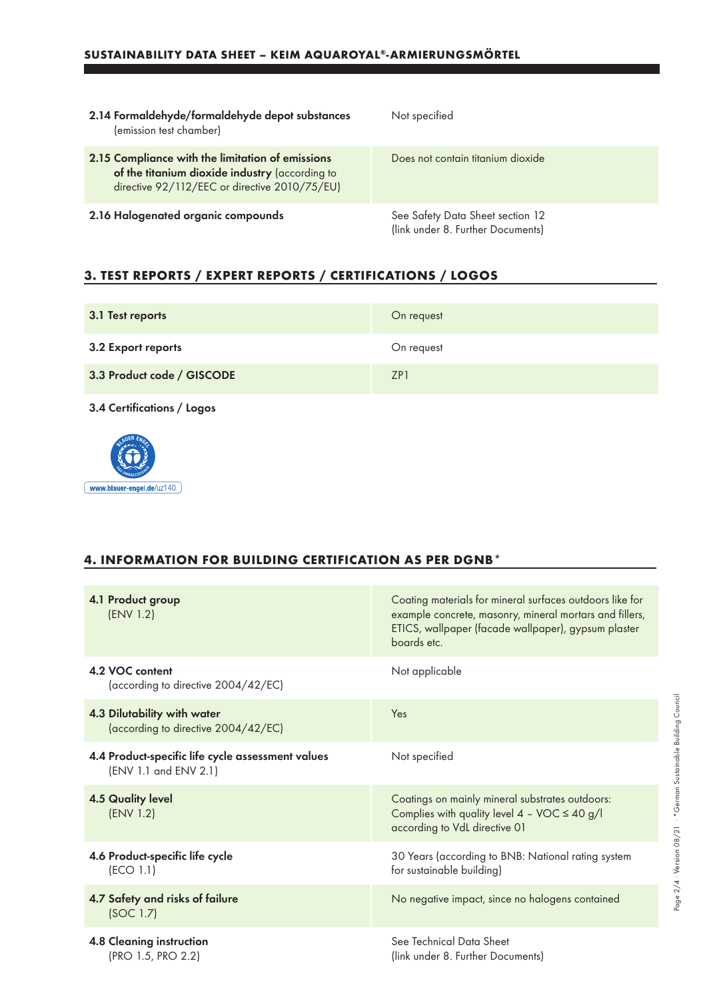| 2.14 Formaldehyde/formaldehyde depot substances<br>(emission test chamber)                                                                          | Not specified                                                         |
|-----------------------------------------------------------------------------------------------------------------------------------------------------|-----------------------------------------------------------------------|
| 2.15 Compliance with the limitation of emissions<br>of the titanium dioxide industry (according to<br>directive 92/112/EEC or directive 2010/75/EU) | Does not contain titanium dioxide                                     |
| 2.16 Halogenated organic compounds                                                                                                                  | See Safety Data Sheet section 12<br>(link under 8. Further Documents) |

## **3. TEST REPORTS / EXPERT REPORTS / CERTIFICATIONS / LOGOS**

| 3.1 Test reports           | On request |
|----------------------------|------------|
| 3.2 Export reports         | On request |
| 3.3 Product code / GISCODE | ZP1        |

3.4 Certifications / Logos



### **4. INFORMATION FOR BUILDING CERTIFICATION AS PER DGNB\***

| 4.1 Product group<br>(ENV 1.2)                                             | Coating materials for mineral surfaces outdoors like for<br>example concrete, masonry, mineral mortars and fillers,<br>ETICS, wallpaper (facade wallpaper), gypsum plaster<br>boards etc. |
|----------------------------------------------------------------------------|-------------------------------------------------------------------------------------------------------------------------------------------------------------------------------------------|
| 4.2 VOC content<br>(according to directive 2004/42/EC)                     | Not applicable                                                                                                                                                                            |
| 4.3 Dilutability with water<br>(according to directive 2004/42/EC)         | Yes                                                                                                                                                                                       |
| 4.4 Product-specific life cycle assessment values<br>(ENV 1.1 and ENV 2.1) | Not specified                                                                                                                                                                             |
| <b>4.5 Quality level</b><br>(ENV 1.2)                                      | Coatings on mainly mineral substrates outdoors:<br>Complies with quality level $4 - \text{VOC} \le 40 \text{ g/l}$<br>according to VdL directive 01                                       |
| 4.6 Product-specific life cycle<br>(ECO 1.1)                               | 30 Years (according to BNB: National rating system<br>for sustainable building)                                                                                                           |
| 4.7 Safety and risks of failure<br>(SOC 1.7)                               | No negative impact, since no halogens contained                                                                                                                                           |
| 4.8 Cleaning instruction<br>(PRO 1.5, PRO 2.2)                             | See Technical Data Sheet<br>(link under 8. Further Documents)                                                                                                                             |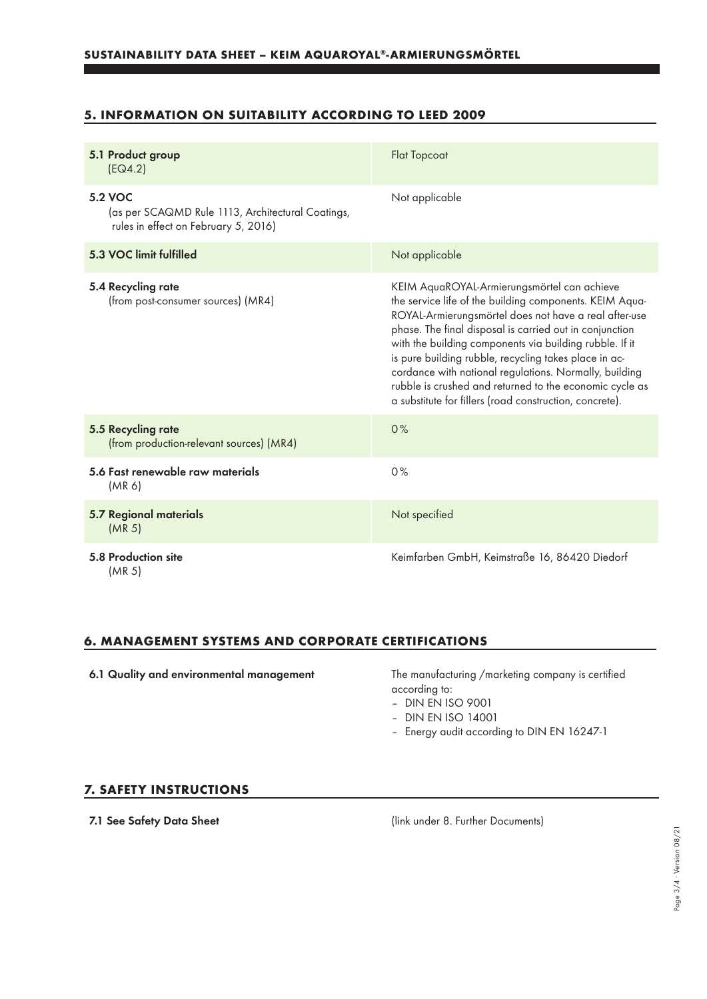### **5. INFORMATION ON SUITABILITY ACCORDING TO LEED 2009**

| 5.1 Product group<br>[EQ4.2]                                                                                | <b>Flat Topcoat</b>                                                                                                                                                                                                                                                                                                                                                                                                                                                                                                            |
|-------------------------------------------------------------------------------------------------------------|--------------------------------------------------------------------------------------------------------------------------------------------------------------------------------------------------------------------------------------------------------------------------------------------------------------------------------------------------------------------------------------------------------------------------------------------------------------------------------------------------------------------------------|
| <b>5.2 VOC</b><br>(as per SCAQMD Rule 1113, Architectural Coatings,<br>rules in effect on February 5, 2016) | Not applicable                                                                                                                                                                                                                                                                                                                                                                                                                                                                                                                 |
| 5.3 VOC limit fulfilled                                                                                     | Not applicable                                                                                                                                                                                                                                                                                                                                                                                                                                                                                                                 |
| 5.4 Recycling rate<br>(from post-consumer sources) (MR4)                                                    | KEIM AquaROYAL-Armierungsmörtel can achieve<br>the service life of the building components. KEIM Aqua-<br>ROYAL-Armierungsmörtel does not have a real after-use<br>phase. The final disposal is carried out in conjunction<br>with the building components via building rubble. If it<br>is pure building rubble, recycling takes place in ac-<br>cordance with national regulations. Normally, building<br>rubble is crushed and returned to the economic cycle as<br>a substitute for fillers (road construction, concrete). |
| 5.5 Recycling rate<br>(from production-relevant sources) (MR4)                                              | 0%                                                                                                                                                                                                                                                                                                                                                                                                                                                                                                                             |
| 5.6 Fast renewable raw materials<br>(MR 6)                                                                  | 0%                                                                                                                                                                                                                                                                                                                                                                                                                                                                                                                             |
| <b>5.7 Regional materials</b><br>(MR <sub>5</sub> )                                                         | Not specified                                                                                                                                                                                                                                                                                                                                                                                                                                                                                                                  |
| 5.8 Production site<br>(MR <sub>5</sub> )                                                                   | Keimfarben GmbH, Keimstraße 16, 86420 Diedorf                                                                                                                                                                                                                                                                                                                                                                                                                                                                                  |

#### **6. MANAGEMENT SYSTEMS AND CORPORATE CERTIFICATIONS**

6.1 Quality and environmental management The manufacturing /marketing company is certified according to:

- DIN EN ISO 9001
- DIN EN ISO 14001
- Energy audit according to DIN EN 16247-1

#### **7. SAFETY INSTRUCTIONS**

7.1 See Safety Data Sheet (link under 8. Further Documents)